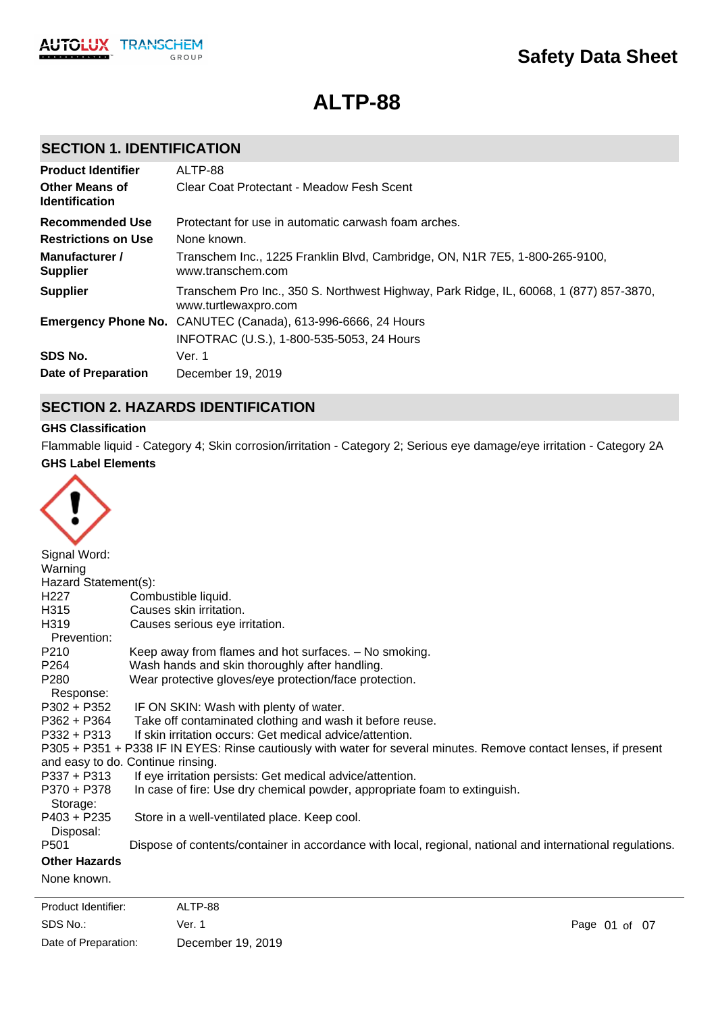

# **ALTP-88**

# **SECTION 1. IDENTIFICATION**

| <b>Product Identifier</b>                      | ALTP-88                                                                                                        |
|------------------------------------------------|----------------------------------------------------------------------------------------------------------------|
| <b>Other Means of</b><br><b>Identification</b> | Clear Coat Protectant - Meadow Fesh Scent                                                                      |
| <b>Recommended Use</b>                         | Protectant for use in automatic carwash foam arches.                                                           |
| <b>Restrictions on Use</b>                     | None known.                                                                                                    |
| Manufacturer /<br><b>Supplier</b>              | Transchem Inc., 1225 Franklin Blvd, Cambridge, ON, N1R 7E5, 1-800-265-9100,<br>www.transchem.com               |
| <b>Supplier</b>                                | Transchem Pro Inc., 350 S. Northwest Highway, Park Ridge, IL, 60068, 1 (877) 857-3870,<br>www.turtlewaxpro.com |
|                                                | <b>Emergency Phone No.</b> CANUTEC (Canada), 613-996-6666, 24 Hours                                            |
|                                                | INFOTRAC (U.S.), 1-800-535-5053, 24 Hours                                                                      |
| SDS No.                                        | Ver. 1                                                                                                         |
| Date of Preparation                            | December 19, 2019                                                                                              |

# **SECTION 2. HAZARDS IDENTIFICATION**

# **GHS Classification**

**GHS Label Elements** Flammable liquid - Category 4; Skin corrosion/irritation - Category 2; Serious eye damage/eye irritation - Category 2A

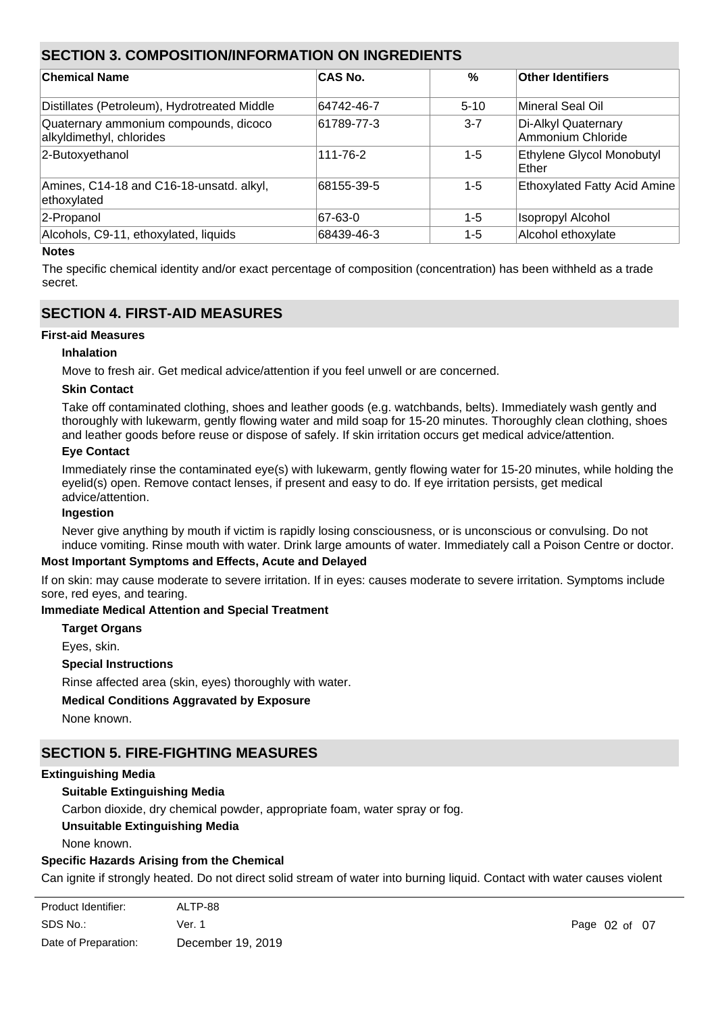# **SECTION 3. COMPOSITION/INFORMATION ON INGREDIENTS**

| <b>Chemical Name</b>                                              | <b>CAS No.</b> | $\%$    | Other Identifiers                        |
|-------------------------------------------------------------------|----------------|---------|------------------------------------------|
| Distillates (Petroleum), Hydrotreated Middle                      | 64742-46-7     | $5-10$  | Mineral Seal Oil                         |
| Quaternary ammonium compounds, dicoco<br>alkyldimethyl, chlorides | 61789-77-3     | $3 - 7$ | Di-Alkyl Quaternary<br>Ammonium Chloride |
| 2-Butoxyethanol                                                   | 111-76-2       | 1-5     | Ethylene Glycol Monobutyl<br>Ether       |
| Amines, C14-18 and C16-18-unsatd. alkyl,<br>ethoxylated           | 68155-39-5     | 1-5     | Ethoxylated Fatty Acid Amine             |
| 2-Propanol                                                        | 67-63-0        | $1 - 5$ | <b>Isopropyl Alcohol</b>                 |
| Alcohols, C9-11, ethoxylated, liquids                             | 68439-46-3     | 1-5     | Alcohol ethoxylate                       |

# **Notes**

The specific chemical identity and/or exact percentage of composition (concentration) has been withheld as a trade secret.

# **SECTION 4. FIRST-AID MEASURES**

### **First-aid Measures**

### **Inhalation**

Move to fresh air. Get medical advice/attention if you feel unwell or are concerned.

#### **Skin Contact**

Take off contaminated clothing, shoes and leather goods (e.g. watchbands, belts). Immediately wash gently and thoroughly with lukewarm, gently flowing water and mild soap for 15-20 minutes. Thoroughly clean clothing, shoes and leather goods before reuse or dispose of safely. If skin irritation occurs get medical advice/attention.

### **Eye Contact**

Immediately rinse the contaminated eye(s) with lukewarm, gently flowing water for 15-20 minutes, while holding the evelid(s) open. Remove contact lenses, if present and easy to do. If eve irritation persists, get medical advice/attention.

#### **Ingestion**

Never give anything by mouth if victim is rapidly losing consciousness, or is unconscious or convulsing. Do not induce vomiting. Rinse mouth with water. Drink large amounts of water. Immediately call a Poison Centre or doctor.

# **Most Important Symptoms and Effects, Acute and Delayed**

If on skin: may cause moderate to severe irritation. If in eyes: causes moderate to severe irritation. Symptoms include sore, red eyes, and tearing.

# **Immediate Medical Attention and Special Treatment**

**Target Organs**

Eyes, skin.

#### **Special Instructions**

Rinse affected area (skin, eyes) thoroughly with water.

# **Medical Conditions Aggravated by Exposure**

None known.

# **SECTION 5. FIRE-FIGHTING MEASURES**

#### **Extinguishing Media**

# **Suitable Extinguishing Media**

Carbon dioxide, dry chemical powder, appropriate foam, water spray or fog.

# **Unsuitable Extinguishing Media**

None known.

frothing and spattering.

# **Specific Hazards Arising from the Chemical**

Can ignite if strongly heated. Do not direct solid stream of water into burning liquid. Contact with water causes violent

| Product Identifier:  | ALTP-88           |
|----------------------|-------------------|
| SDS No.:             | Ver. 1            |
| Date of Preparation: | December 19, 2019 |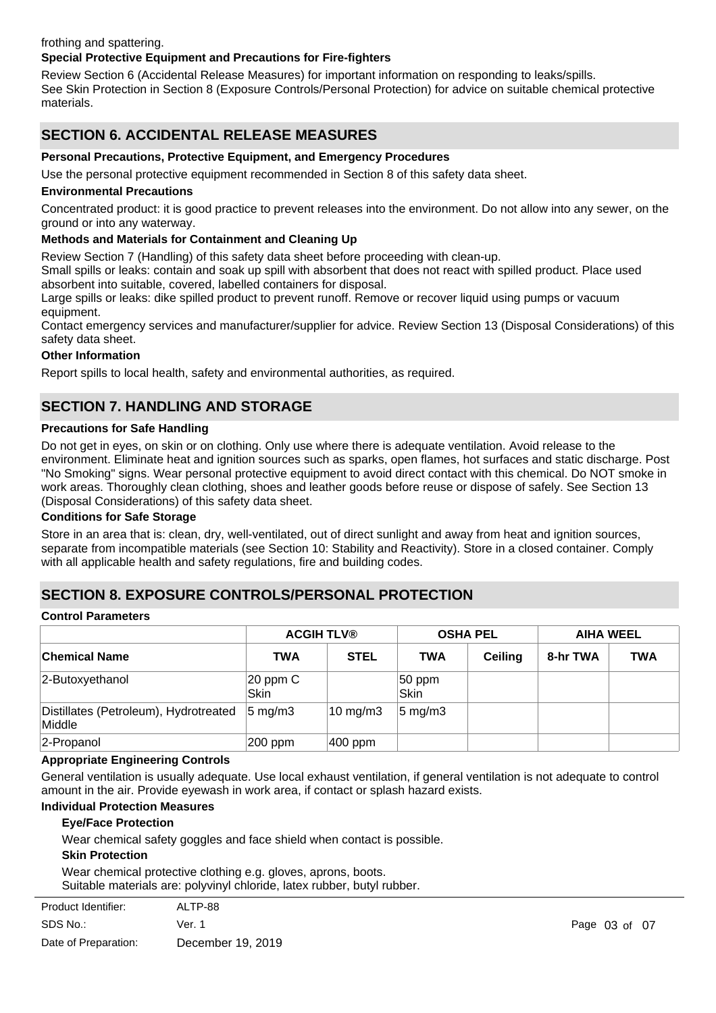# frothing and spattering.

# **Special Protective Equipment and Precautions for Fire-fighters**

Review Section 6 (Accidental Release Measures) for important information on responding to leaks/spills. See Skin Protection in Section 8 (Exposure Controls/Personal Protection) for advice on suitable chemical protective materials.

# **SECTION 6. ACCIDENTAL RELEASE MEASURES**

### **Personal Precautions, Protective Equipment, and Emergency Procedures**

Use the personal protective equipment recommended in Section 8 of this safety data sheet.

#### **Environmental Precautions**

Concentrated product: it is good practice to prevent releases into the environment. Do not allow into any sewer, on the ground or into any waterway.

# **Methods and Materials for Containment and Cleaning Up**

Review Section 7 (Handling) of this safety data sheet before proceeding with clean-up.

Small spills or leaks: contain and soak up spill with absorbent that does not react with spilled product. Place used absorbent into suitable, covered, labelled containers for disposal.

Large spills or leaks: dike spilled product to prevent runoff. Remove or recover liquid using pumps or vacuum equipment.

Contact emergency services and manufacturer/supplier for advice. Review Section 13 (Disposal Considerations) of this safety data sheet.

### **Other Information**

Report spills to local health, safety and environmental authorities, as required.

# **SECTION 7. HANDLING AND STORAGE**

#### **Precautions for Safe Handling**

Do not get in eyes, on skin or on clothing. Only use where there is adequate ventilation. Avoid release to the environment. Eliminate heat and ignition sources such as sparks, open flames, hot surfaces and static discharge. Post "No Smoking" signs. Wear personal protective equipment to avoid direct contact with this chemical. Do NOT smoke in work areas. Thoroughly clean clothing, shoes and leather goods before reuse or dispose of safely. See Section 13 (Disposal Considerations) of this safety data sheet.

#### **Conditions for Safe Storage**

Store in an area that is: clean, dry, well-ventilated, out of direct sunlight and away from heat and ignition sources, separate from incompatible materials (see Section 10: Stability and Reactivity). Store in a closed container. Comply with all applicable health and safety regulations, fire and building codes.

# **SECTION 8. EXPOSURE CONTROLS/PERSONAL PROTECTION**

#### **Control Parameters**

|                                                 |                      | <b>ACGIH TLV®</b>   |                    | <b>OSHA PEL</b> | <b>AIHA WEEL</b> |            |
|-------------------------------------------------|----------------------|---------------------|--------------------|-----------------|------------------|------------|
| ∣Chemical Name                                  | <b>TWA</b>           | <b>STEL</b>         | <b>TWA</b>         | <b>Ceiling</b>  | 8-hr TWA         | <b>TWA</b> |
| 2-Butoxyethanol                                 | $20$ ppm $C$<br>Skin |                     | $50$ ppm<br> Skin  |                 |                  |            |
| Distillates (Petroleum), Hydrotreated<br>Middle | $5 \text{ mg/m}$ 3   | $10 \text{ mg/m}$ 3 | $5 \text{ mg/m}$ 3 |                 |                  |            |
| 2-Propanol                                      | 200 ppm              | $ 400$ ppm          |                    |                 |                  |            |

### **Appropriate Engineering Controls**

General ventilation is usually adequate. Use local exhaust ventilation, if general ventilation is not adequate to control amount in the air. Provide eyewash in work area, if contact or splash hazard exists.

#### **Individual Protection Measures**

#### **Eye/Face Protection**

Wear chemical safety goggles and face shield when contact is possible.

#### **Skin Protection**

Wear chemical protective clothing e.g. gloves, aprons, boots. Suitable materials are: polyvinyl chloride, latex rubber, butyl rubber.

| Product Identifier:  | ALTP-88           |
|----------------------|-------------------|
| SDS No.:             | Ver. 1            |
| Date of Preparation: | December 19, 2019 |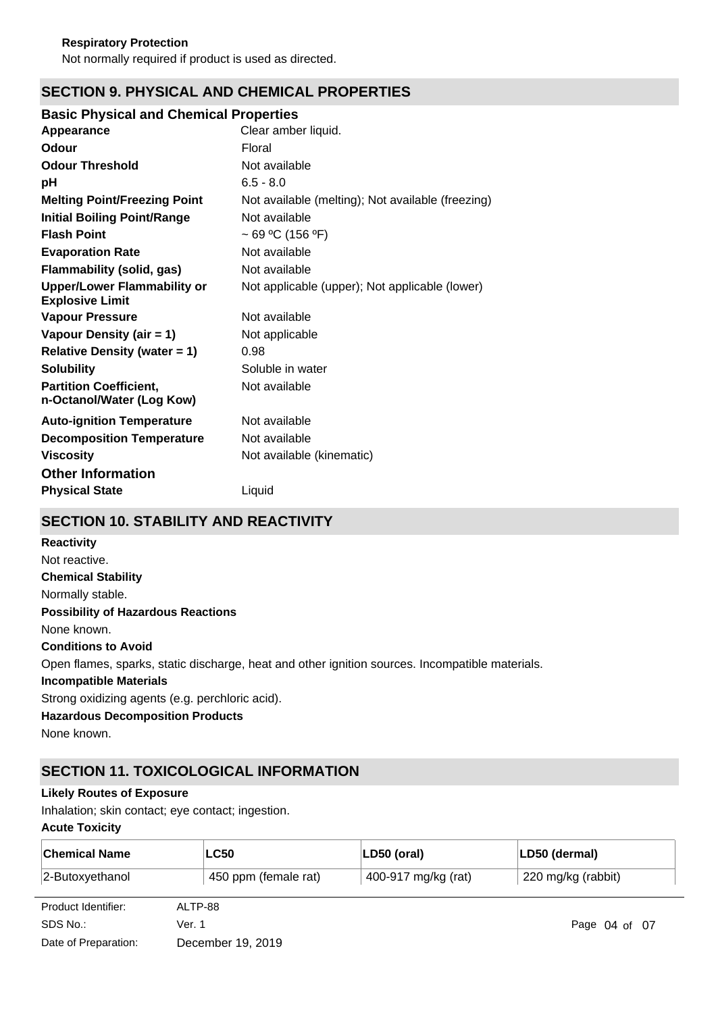# **SECTION 9. PHYSICAL AND CHEMICAL PROPERTIES**

# **Basic Physical and Chemical Properties**

| Appearance                                                   | Clear amber liquid.                               |
|--------------------------------------------------------------|---------------------------------------------------|
| Odour                                                        | Floral                                            |
| <b>Odour Threshold</b>                                       | Not available                                     |
| рH                                                           | $6.5 - 8.0$                                       |
| <b>Melting Point/Freezing Point</b>                          | Not available (melting); Not available (freezing) |
| <b>Initial Boiling Point/Range</b>                           | Not available                                     |
| <b>Flash Point</b>                                           | ~ 69 °C (156 °F)                                  |
| <b>Evaporation Rate</b>                                      | Not available                                     |
| Flammability (solid, gas)                                    | Not available                                     |
| <b>Upper/Lower Flammability or</b><br><b>Explosive Limit</b> | Not applicable (upper); Not applicable (lower)    |
| <b>Vapour Pressure</b>                                       | Not available                                     |
| Vapour Density (air = 1)                                     | Not applicable                                    |
| <b>Relative Density (water = 1)</b>                          | 0.98                                              |
| <b>Solubility</b>                                            | Soluble in water                                  |
| <b>Partition Coefficient,</b><br>n-Octanol/Water (Log Kow)   | Not available                                     |
| <b>Auto-ignition Temperature</b>                             | Not available                                     |
| <b>Decomposition Temperature</b>                             | Not available                                     |
| <b>Viscosity</b>                                             | Not available (kinematic)                         |
| <b>Other Information</b>                                     |                                                   |
| <b>Physical State</b>                                        | Liquid                                            |

# **SECTION 10. STABILITY AND REACTIVITY**

| <b>Reactivity</b>                                                                               |
|-------------------------------------------------------------------------------------------------|
| Not reactive.                                                                                   |
| <b>Chemical Stability</b>                                                                       |
| Normally stable.                                                                                |
| <b>Possibility of Hazardous Reactions</b>                                                       |
| None known.                                                                                     |
| <b>Conditions to Avoid</b>                                                                      |
| Open flames, sparks, static discharge, heat and other ignition sources. Incompatible materials. |
| <b>Incompatible Materials</b>                                                                   |
| Strong oxidizing agents (e.g. perchloric acid).                                                 |
| <b>Hazardous Decomposition Products</b>                                                         |
| None known.                                                                                     |

# **SECTION 11. TOXICOLOGICAL INFORMATION**

# **Likely Routes of Exposure**

Inhalation; skin contact; eye contact; ingestion.

# **Acute Toxicity**

| <b>Chemical Name</b> | <b>LC50</b>          | $ LD50$ (oral)      | LD50 (dermal)      |
|----------------------|----------------------|---------------------|--------------------|
| $ 2$ -Butoxyethanol  | 450 ppm (female rat) | 400-917 mg/kg (rat) | 220 mg/kg (rabbit) |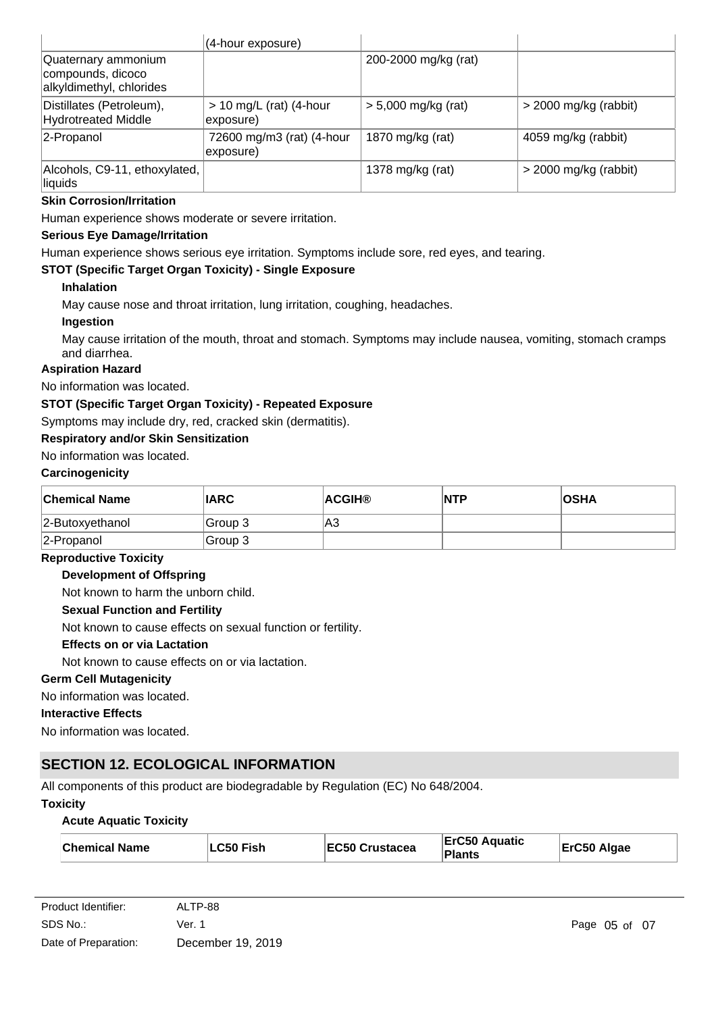|                                                                      | (4-hour exposure)                      |                       |                         |
|----------------------------------------------------------------------|----------------------------------------|-----------------------|-------------------------|
| Quaternary ammonium<br>compounds, dicoco<br>alkyldimethyl, chlorides |                                        | 200-2000 mg/kg (rat)  |                         |
| Distillates (Petroleum),<br><b>Hydrotreated Middle</b>               | $> 10$ mg/L (rat) (4-hour<br>exposure) | $> 5,000$ mg/kg (rat) | $>$ 2000 mg/kg (rabbit) |
| 2-Propanol                                                           | 72600 mg/m3 (rat) (4-hour<br>exposure) | 1870 mg/kg (rat)      | 4059 mg/kg (rabbit)     |
| Alcohols, C9-11, ethoxylated,<br>liquids                             |                                        | 1378 mg/kg (rat)      | $>$ 2000 mg/kg (rabbit) |

### **Skin Corrosion/Irritation**

Human experience shows moderate or severe irritation.

#### **Serious Eye Damage/Irritation**

Human experience shows serious eye irritation. Symptoms include sore, red eyes, and tearing.

# **STOT (Specific Target Organ Toxicity) - Single Exposure**

### **Inhalation**

May cause nose and throat irritation, lung irritation, coughing, headaches.

### **Ingestion**

May cause irritation of the mouth, throat and stomach. Symptoms may include nausea, vomiting, stomach cramps and diarrhea.

### **Aspiration Hazard**

No information was located.

# **STOT (Specific Target Organ Toxicity) - Repeated Exposure**

Symptoms may include dry, red, cracked skin (dermatitis).

# **Respiratory and/or Skin Sensitization**

No information was located.

# **Carcinogenicity**

| <b>Chemical Name</b> | <b>IARC</b> | ∣ACGIH® | INTP | <b>OSHA</b> |
|----------------------|-------------|---------|------|-------------|
| $ 2$ -Butoxyethanol  | ∣Group 3    | A3      |      |             |
| 2-Propanol           | ⊦Group 3    |         |      |             |

### **Reproductive Toxicity**

#### **Development of Offspring**

Not known to harm the unborn child.

# **Sexual Function and Fertility**

Not known to cause effects on sexual function or fertility.

#### **Effects on or via Lactation**

Not known to cause effects on or via lactation.

### **Germ Cell Mutagenicity**

No information was located.

#### **Interactive Effects**

No information was located.

# **SECTION 12. ECOLOGICAL INFORMATION**

All components of this product are biodegradable by Regulation (EC) No 648/2004.

#### **Toxicity**

#### **Acute Aquatic Toxicity**

| <b>Chemical Name</b> | ∣LC50 Fish | EC50 Crustacea | <b>ErC50 Aquatic</b><br><b>Plants</b> | ErC50 Algae |
|----------------------|------------|----------------|---------------------------------------|-------------|
|----------------------|------------|----------------|---------------------------------------|-------------|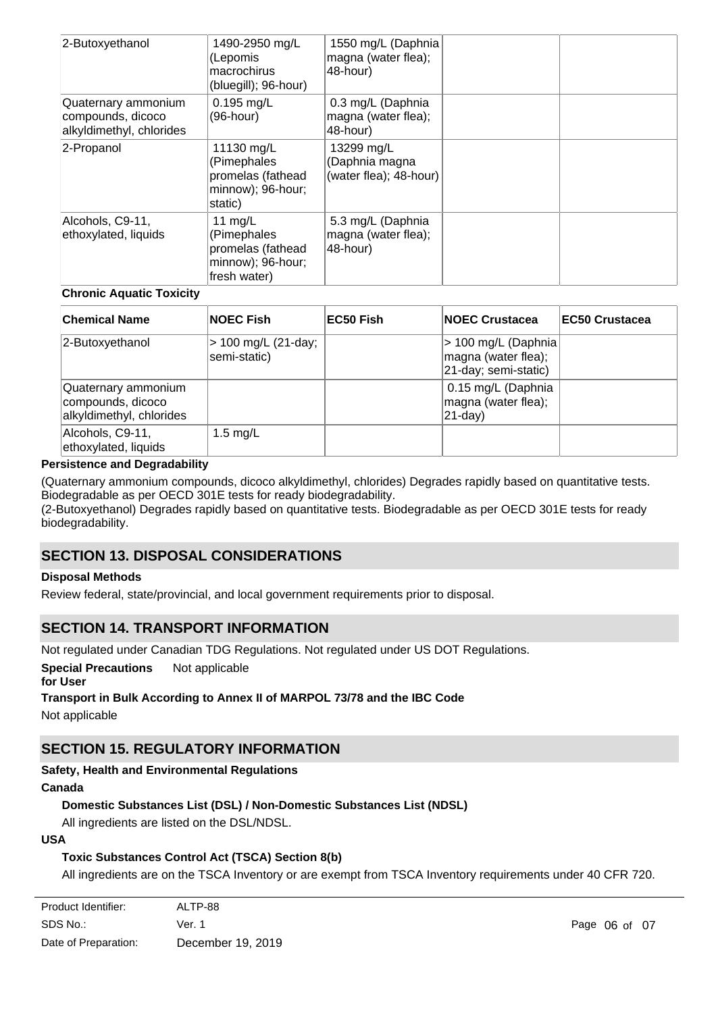| 2-Butoxyethanol                                                      | 1490-2950 mg/L<br>(Lepomis<br>macrochirus<br>(bluegill); 96-hour)                  | 1550 mg/L (Daphnia<br>magna (water flea);<br>48-hour)  |  |
|----------------------------------------------------------------------|------------------------------------------------------------------------------------|--------------------------------------------------------|--|
| Quaternary ammonium<br>compounds, dicoco<br>alkyldimethyl, chlorides | $0.195$ mg/L<br>(96-hour)                                                          | 0.3 mg/L (Daphnia<br>magna (water flea);<br>48-hour)   |  |
| 2-Propanol                                                           | 11130 mg/L<br>(Pimephales<br>promelas (fathead<br>minnow); 96-hour;<br>static)     | 13299 mg/L<br>(Daphnia magna<br>(water flea); 48-hour) |  |
| Alcohols, C9-11,<br>ethoxylated, liquids                             | 11 $mg/L$<br>(Pimephales<br>promelas (fathead<br>minnow); 96-hour;<br>fresh water) | 5.3 mg/L (Daphnia<br>magna (water flea);<br>48-hour)   |  |

# **Chronic Aquatic Toxicity**

| <b>Chemical Name</b>                                                 | <b>NOEC Fish</b>                    | EC50 Fish | <b>NOEC Crustacea</b>                                               | <b>IEC50 Crustacea</b> |
|----------------------------------------------------------------------|-------------------------------------|-----------|---------------------------------------------------------------------|------------------------|
| 2-Butoxyethanol                                                      | > 100 mg/L (21-day;<br>semi-static) |           | > 100 mg/L (Daphnia)<br>magna (water flea);<br>21-day; semi-static) |                        |
| Quaternary ammonium<br>compounds, dicoco<br>alkyldimethyl, chlorides |                                     |           | 0.15 mg/L (Daphnia<br>magna (water flea);<br>$ 21-day\rangle$       |                        |
| Alcohols, C9-11,<br>ethoxylated, liquids                             | 1.5 $mg/L$                          |           |                                                                     |                        |

### **Persistence and Degradability**

(Quaternary ammonium compounds, dicoco alkyldimethyl, chlorides) Degrades rapidly based on quantitative tests. Biodegradable as per OECD 301E tests for ready biodegradability.

(2-Butoxyethanol) Degrades rapidly based on quantitative tests. Biodegradable as per OECD 301E tests for ready biodegradability.

# **SECTION 13. DISPOSAL CONSIDERATIONS**

#### **Disposal Methods**

Review federal, state/provincial, and local government requirements prior to disposal.

# **SECTION 14. TRANSPORT INFORMATION**

Not regulated under Canadian TDG Regulations. Not regulated under US DOT Regulations.

**Special Precautions** Not applicable

**for User**

# **Transport in Bulk According to Annex II of MARPOL 73/78 and the IBC Code**

Not applicable

# **SECTION 15. REGULATORY INFORMATION**

# **Safety, Health and Environmental Regulations**

#### **Canada**

# **Domestic Substances List (DSL) / Non-Domestic Substances List (NDSL)**

All ingredients are listed on the DSL/NDSL.

# **USA**

# **Toxic Substances Control Act (TSCA) Section 8(b)**

All ingredients are on the TSCA Inventory or are exempt from TSCA Inventory requirements under 40 CFR 720.

| Product Identifier:  | ALTP-88           |
|----------------------|-------------------|
| SDS No.:             | Ver. 1            |
| Date of Preparation: | December 19, 2019 |

**Additional USA Regulatory Lists**